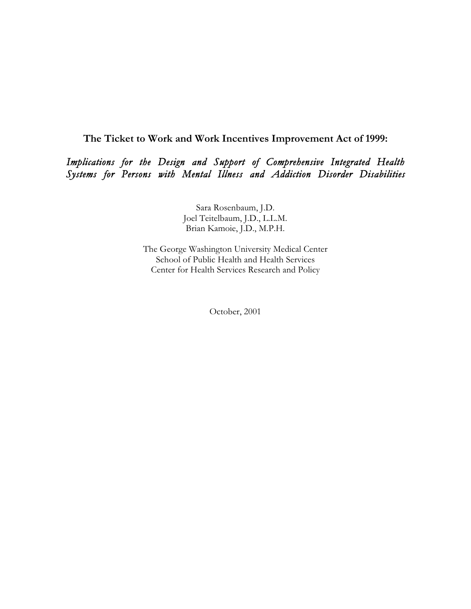**The Ticket to Work and Work Incentives Improvement Act of 1999:**

*Implications for the Design and Support of Comprehensive Integrated Health Systems for Persons with Mental Illness and Addiction Disorder Disabilities*

> Sara Rosenbaum, J.D. Joel Teitelbaum, J.D., L.L.M. Brian Kamoie, J.D., M.P.H.

The George Washington University Medical Center School of Public Health and Health Services Center for Health Services Research and Policy

October, 2001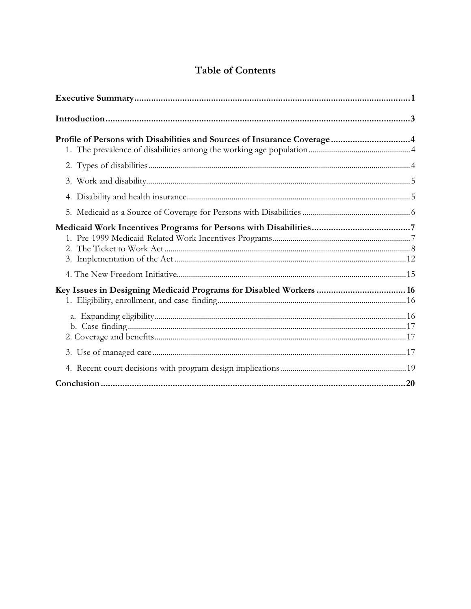# **Table of Contents**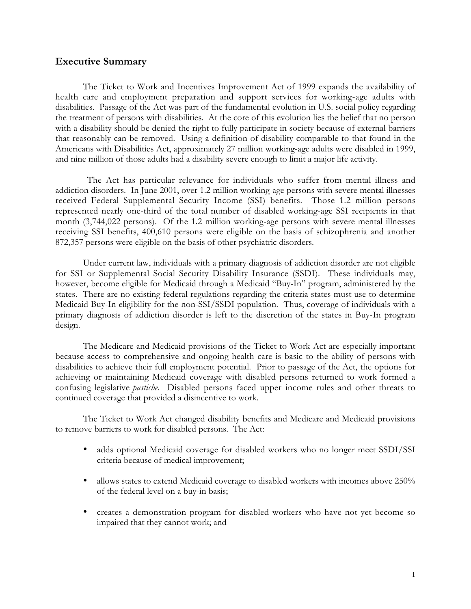### **Executive Summary**

The Ticket to Work and Incentives Improvement Act of 1999 expands the availability of health care and employment preparation and support services for working-age adults with disabilities. Passage of the Act was part of the fundamental evolution in U.S. social policy regarding the treatment of persons with disabilities. At the core of this evolution lies the belief that no person with a disability should be denied the right to fully participate in society because of external barriers that reasonably can be removed. Using a definition of disability comparable to that found in the Americans with Disabilities Act, approximately 27 million working-age adults were disabled in 1999, and nine million of those adults had a disability severe enough to limit a major life activity.

The Act has particular relevance for individuals who suffer from mental illness and addiction disorders. In June 2001, over 1.2 million working-age persons with severe mental illnesses received Federal Supplemental Security Income (SSI) benefits. Those 1.2 million persons represented nearly one-third of the total number of disabled working-age SSI recipients in that month (3,744,022 persons). Of the 1.2 million working-age persons with severe mental illnesses receiving SSI benefits, 400,610 persons were eligible on the basis of schizophrenia and another 872,357 persons were eligible on the basis of other psychiatric disorders.

Under current law, individuals with a primary diagnosis of addiction disorder are not eligible for SSI or Supplemental Social Security Disability Insurance (SSDI). These individuals may, however, become eligible for Medicaid through a Medicaid "Buy-In" program, administered by the states. There are no existing federal regulations regarding the criteria states must use to determine Medicaid Buy-In eligibility for the non-SSI/SSDI population. Thus, coverage of individuals with a primary diagnosis of addiction disorder is left to the discretion of the states in Buy-In program design.

The Medicare and Medicaid provisions of the Ticket to Work Act are especially important because access to comprehensive and ongoing health care is basic to the ability of persons with disabilities to achieve their full employment potential. Prior to passage of the Act, the options for achieving or maintaining Medicaid coverage with disabled persons returned to work formed a confusing legislative *pastiche*. Disabled persons faced upper income rules and other threats to continued coverage that provided a disincentive to work.

The Ticket to Work Act changed disability benefits and Medicare and Medicaid provisions to remove barriers to work for disabled persons. The Act:

- adds optional Medicaid coverage for disabled workers who no longer meet SSDI/SSI criteria because of medical improvement;
- allows states to extend Medicaid coverage to disabled workers with incomes above 250% of the federal level on a buy-in basis;
- creates a demonstration program for disabled workers who have not yet become so impaired that they cannot work; and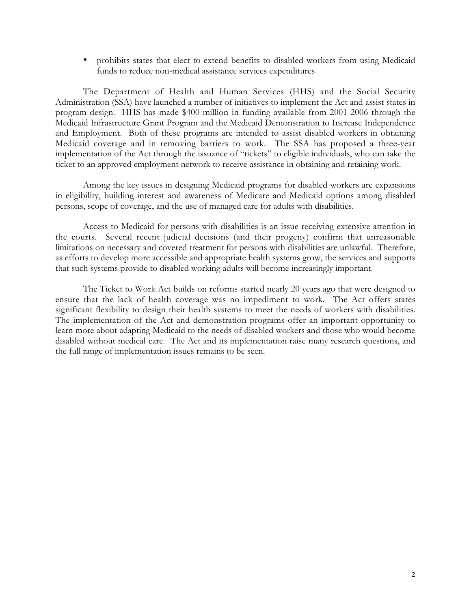• prohibits states that elect to extend benefits to disabled workers from using Medicaid funds to reduce non-medical assistance services expenditures

The Department of Health and Human Services (HHS) and the Social Security Administration (SSA) have launched a number of initiatives to implement the Act and assist states in program design. HHS has made \$400 million in funding available from 2001-2006 through the Medicaid Infrastructure Grant Program and the Medicaid Demonstration to Increase Independence and Employment. Both of these programs are intended to assist disabled workers in obtaining Medicaid coverage and in removing barriers to work. The SSA has proposed a three-year implementation of the Act through the issuance of "tickets" to eligible individuals, who can take the ticket to an approved employment network to receive assistance in obtaining and retaining work.

Among the key issues in designing Medicaid programs for disabled workers are expansions in eligibility, building interest and awareness of Medicare and Medicaid options among disabled persons, scope of coverage, and the use of managed care for adults with disabilities.

Access to Medicaid for persons with disabilities is an issue receiving extensive attention in the courts. Several recent judicial decisions (and their progeny) confirm that unreasonable limitations on necessary and covered treatment for persons with disabilities are unlawful. Therefore, as efforts to develop more accessible and appropriate health systems grow, the services and supports that such systems provide to disabled working adults will become increasingly important.

The Ticket to Work Act builds on reforms started nearly 20 years ago that were designed to ensure that the lack of health coverage was no impediment to work. The Act offers states significant flexibility to design their health systems to meet the needs of workers with disabilities. The implementation of the Act and demonstration programs offer an important opportunity to learn more about adapting Medicaid to the needs of disabled workers and those who would become disabled without medical care. The Act and its implementation raise many research questions, and the full range of implementation issues remains to be seen.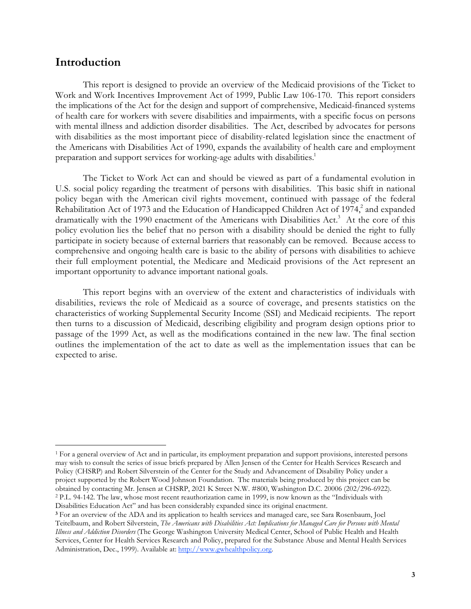# **Introduction**

l

This report is designed to provide an overview of the Medicaid provisions of the Ticket to Work and Work Incentives Improvement Act of 1999, Public Law 106-170. This report considers the implications of the Act for the design and support of comprehensive, Medicaid-financed systems of health care for workers with severe disabilities and impairments, with a specific focus on persons with mental illness and addiction disorder disabilities. The Act, described by advocates for persons with disabilities as the most important piece of disability-related legislation since the enactment of the Americans with Disabilities Act of 1990, expands the availability of health care and employment preparation and support services for working-age adults with disabilities.<sup>1</sup>

The Ticket to Work Act can and should be viewed as part of a fundamental evolution in U.S. social policy regarding the treatment of persons with disabilities. This basic shift in national policy began with the American civil rights movement, continued with passage of the federal Rehabilitation Act of 1973 and the Education of Handicapped Children Act of 1974,<sup>2</sup> and expanded dramatically with the 1990 enactment of the Americans with Disabilities Act.<sup>3</sup> At the core of this policy evolution lies the belief that no person with a disability should be denied the right to fully participate in society because of external barriers that reasonably can be removed. Because access to comprehensive and ongoing health care is basic to the ability of persons with disabilities to achieve their full employment potential, the Medicare and Medicaid provisions of the Act represent an important opportunity to advance important national goals.

This report begins with an overview of the extent and characteristics of individuals with disabilities, reviews the role of Medicaid as a source of coverage, and presents statistics on the characteristics of working Supplemental Security Income (SSI) and Medicaid recipients. The report then turns to a discussion of Medicaid, describing eligibility and program design options prior to passage of the 1999 Act, as well as the modifications contained in the new law. The final section outlines the implementation of the act to date as well as the implementation issues that can be expected to arise.

<sup>1</sup> For a general overview of Act and in particular, its employment preparation and support provisions, interested persons may wish to consult the series of issue briefs prepared by Allen Jensen of the Center for Health Services Research and Policy (CHSRP) and Robert Silverstein of the Center for the Study and Advancement of Disability Policy under a project supported by the Robert Wood Johnson Foundation. The materials being produced by this project can be obtained by contacting Mr. Jensen at CHSRP, 2021 K Street N.W. #800, Washington D.C. 20006 (202/296-6922). 2 P.L. 94-142. The law, whose most recent reauthorization came in 1999, is now known as the "Individuals with Disabilities Education Act" and has been considerably expanded since its original enactment.

**<sup>3</sup>** For an overview of the ADA and its application to health services and managed care, see Sara Rosenbaum, Joel Teitelbaum, and Robert Silverstein, *The Americans with Disabilities Act: Implications for Managed Care for Persons with Mental Illness and Addiction Disorders*  (The George Washington University Medical Center, School of Public Health and Health Services, Center for Health Services Research and Policy, prepared for the Substance Abuse and Mental Health Services Administration, Dec., 1999). Available at: http://www.gwhealthpolicy.org.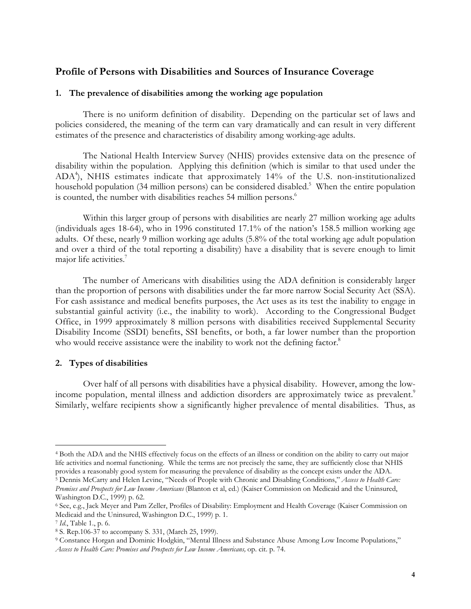# **Profile of Persons with Disabilities and Sources of Insurance Coverage**

#### **1. The prevalence of disabilities among the working age population**

There is no uniform definition of disability. Depending on the particular set of laws and policies considered, the meaning of the term can vary dramatically and can result in very different estimates of the presence and characteristics of disability among working-age adults.

The National Health Interview Survey (NHIS) provides extensive data on the presence of disability within the population. Applying this definition (which is similar to that used under the ADA4 ), NHIS estimates indicate that approximately 14% of the U.S. non-institutionalized household population (34 million persons) can be considered disabled.<sup>5</sup> When the entire population is counted, the number with disabilities reaches 54 million persons.<sup>6</sup>

Within this larger group of persons with disabilities are nearly 27 million working age adults (individuals ages 18-64), who in 1996 constituted 17.1% of the nation's 158.5 million working age adults. Of these, nearly 9 million working age adults (5.8% of the total working age adult population and over a third of the total reporting a disability) have a disability that is severe enough to limit major life activities.<sup>7</sup>

The number of Americans with disabilities using the ADA definition is considerably larger than the proportion of persons with disabilities under the far more narrow Social Security Act (SSA). For cash assistance and medical benefits purposes, the Act uses as its test the inability to engage in substantial gainful activity (i.e., the inability to work). According to the Congressional Budget Office, in 1999 approximately 8 million persons with disabilities received Supplemental Security Disability Income (SSDI) benefits, SSI benefits, or both, a far lower number than the proportion who would receive assistance were the inability to work not the defining factor.<sup>8</sup>

### **2. Types of disabilities**

Over half of all persons with disabilities have a physical disability. However, among the lowincome population, mental illness and addiction disorders are approximately twice as prevalent.<sup>9</sup> Similarly, welfare recipients show a significantly higher prevalence of mental disabilities. Thus, as

<sup>4</sup> Both the ADA and the NHIS effectively focus on the effects of an illness or condition on the ability to carry out major life activities and normal functioning. While the terms are not precisely the same, they are sufficiently close that NHIS provides a reasonably good system for measuring the prevalence of disability as the concept exists under the ADA. 5 Dennis McCarty and Helen Levine, "Needs of People with Chronic and Disabling Conditions," *Access to Health Care:*

*Promises and Prospects for Low Income Americans* (Blanton et al, ed.) (Kaiser Commission on Medicaid and the Uninsured, Washington D.C., 1999) p. 62.

<sup>6</sup> See, e.g., Jack Meyer and Pam Zeller, Profiles of Disability: Employment and Health Coverage (Kaiser Commission on Medicaid and the Uninsured, Washington D.C., 1999) p. 1.

<sup>7</sup> *Id*., Table 1., p. 6.

<sup>8</sup> S. Rep.106-37 to accompany S. 331, (March 25, 1999).

<sup>9</sup> Constance Horgan and Dominic Hodgkin, "Mental Illness and Substance Abuse Among Low Income Populations," *Access to Health Care: Promises and Prospects for Low Income Americans,* op. cit. p. 74.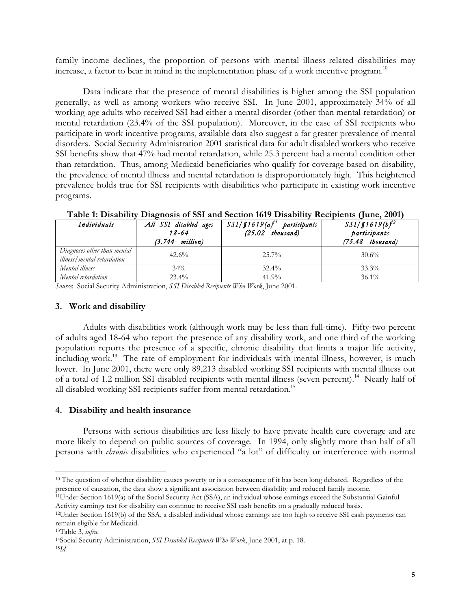family income declines, the proportion of persons with mental illness-related disabilities may increase, a factor to bear in mind in the implementation phase of a work incentive program.<sup>10</sup>

Data indicate that the presence of mental disabilities is higher among the SSI population generally, as well as among workers who receive SSI. In June 2001, approximately 34% of all working-age adults who received SSI had either a mental disorder (other than mental retardation) or mental retardation (23.4% of the SSI population). Moreover, in the case of SSI recipients who participate in work incentive programs, available data also suggest a far greater prevalence of mental disorders. Social Security Administration 2001 statistical data for adult disabled workers who receive SSI benefits show that 47% had mental retardation, while 25.3 percent had a mental condition other than retardation. Thus, among Medicaid beneficiaries who qualify for coverage based on disability, the prevalence of mental illness and mental retardation is disproportionately high. This heightened prevalence holds true for SSI recipients with disabilities who participate in existing work incentive programs.

| Individuals                                               | All SSI disabled ages<br>18-64<br>million)<br>(3.744) | $SSI/\int 1619(a)^{11}$ participants<br>$(25.02$ thousand) | $SSI/f1619(b)^{12}$<br>participants<br>$(75.48$ thousand) |
|-----------------------------------------------------------|-------------------------------------------------------|------------------------------------------------------------|-----------------------------------------------------------|
| Diagnoses other than mental<br>illness/mental retardation | 42.6%                                                 | $25.7\%$                                                   | $30.6\%$                                                  |
| Mental illness                                            | $34\%$                                                | $32.4\%$                                                   | $33.3\%$                                                  |
| Mental retardation                                        | $23.4\%$                                              | $41.9\%$                                                   | $36.1\%$                                                  |

**Table 1: Disability Diagnosis of SSI and Section 1619 Disability Recipients (June, 2001)**

*Source*: Social Security Administration, *SSI Disabled Recipients Who Work*, June 2001.

### **3. Work and disability**

Adults with disabilities work (although work may be less than full-time). Fifty-two percent of adults aged 18-64 who report the presence of any disability work, and one third of the working population reports the presence of a specific, chronic disability that limits a major life activity, including work.<sup>13</sup> The rate of employment for individuals with mental illness, however, is much lower. In June 2001, there were only 89,213 disabled working SSI recipients with mental illness out of a total of 1.2 million SSI disabled recipients with mental illness (seven percent).<sup>14</sup> Nearly half of all disabled working SSI recipients suffer from mental retardation.<sup>15</sup>

### **4. Disability and health insurance**

Persons with serious disabilities are less likely to have private health care coverage and are more likely to depend on public sources of coverage. In 1994, only slightly more than half of all persons with *chronic* disabilities who experienced "a lot" of difficulty or interference with normal

<sup>&</sup>lt;sup>10</sup> The question of whether disability causes poverty or is a consequence of it has been long debated. Regardless of the presence of causation, the data show a significant association between disability and reduced family income.

<sup>11</sup>Under Section 1619(a) of the Social Security Act (SSA), an individual whose earnings exceed the Substantial Gainful Activity earnings test for disability can continue to receive SSI cash benefits on a gradually reduced basis.

<sup>12</sup>Under Section 1619(b) of the SSA, a disabled individual whose earnings are too high to receive SSI cash payments can remain eligible for Medicaid.

<sup>13</sup>Table 3, *infra*.

<sup>14</sup>Social Security Administration, *SSI Disabled Recipients Who Work*, June 2001, at p. 18.

<sup>15</sup>*Id.*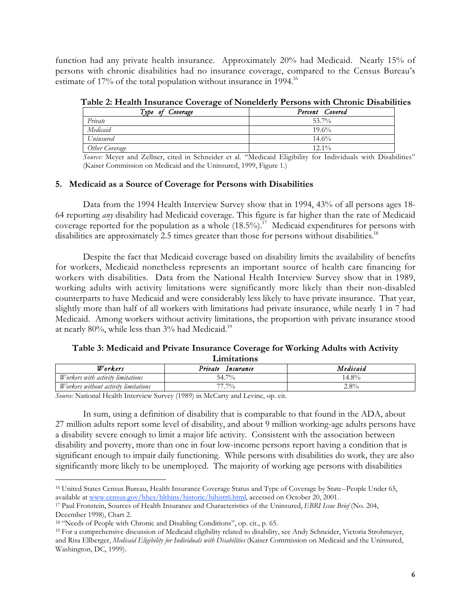function had any private health insurance. Approximately 20% had Medicaid. Nearly 15% of persons with chronic disabilities had no insurance coverage, compared to the Census Bureau's estimate of 17% of the total population without insurance in 1994.<sup>16</sup>

| Type of Coverage | Percent Covered |
|------------------|-----------------|
| Private          | 53.7%           |
| Medicaid         | 19.6%           |
| Uninsured        | $14.6\%$        |
| Other Coverage   | $12.1\%$        |

**Table 2: Health Insurance Coverage of Nonelderly Persons with Chronic Disabilities**

*Source:* Meyer and Zellner, cited in Schneider et al*.* "Medicaid Eligibility for Individuals with Disabilities" (Kaiser Commission on Medicaid and the Uninsured, 1999, Figure 1.)

### **5. Medicaid as a Source of Coverage for Persons with Disabilities**

Data from the 1994 Health Interview Survey show that in 1994, 43% of all persons ages 18- 64 reporting *any* disability had Medicaid coverage. This figure is far higher than the rate of Medicaid coverage reported for the population as a whole  $(18.5\%)$ .<sup>17</sup> Medicaid expenditures for persons with disabilities are approximately 2.5 times greater than those for persons without disabilities.<sup>18</sup>

Despite the fact that Medicaid coverage based on disability limits the availability of benefits for workers, Medicaid nonetheless represents an important source of health care financing for workers with disabilities. Data from the National Health Interview Survey show that in 1989, working adults with activity limitations were significantly more likely than their non-disabled counterparts to have Medicaid and were considerably less likely to have private insurance. That year, slightly more than half of all workers with limitations had private insurance, while nearly 1 in 7 had Medicaid. Among workers without activity limitations, the proportion with private insurance stood at nearly 80%, while less than  $3\%$  had Medicaid.<sup>19</sup>

### **Table 3: Medicaid and Private Insurance Coverage for Working Adults with Activity Limitations**

| Workers                                     | Private<br>Insurance | Medicaid |  |  |
|---------------------------------------------|----------------------|----------|--|--|
| Workers with activity limitations           | 54.7%                | $+8\%$   |  |  |
| <i>Workers without activity limitations</i> | 70/0                 | 2.8%     |  |  |
|                                             |                      |          |  |  |

*Source:* National Health Interview Survey (1989) in McCarty and Levine, op. cit.

In sum, using a definition of disability that is comparable to that found in the ADA, about 27 million adults report some level of disability, and about 9 million working-age adults persons have a disability severe enough to limit a major life activity. Consistent with the association between disability and poverty, more than one in four low-income persons report having a condition that is significant enough to impair daily functioning. While persons with disabilities do work, they are also significantly more likely to be unemployed. The majority of working age persons with disabilities

<sup>16</sup> United States Census Bureau, Health Insurance Coverage Status and Type of Coverage by State--People Under 65, available at www.census.gov/hhes/hlthins/historic/hihistt6.html, accessed on October 20, 2001.

<sup>17</sup> Paul Fronstein, Sources of Health Insurance and Characteristics of the Uninsured, *EBRI Issue Brief* (No. 204, December 1998), Chart 2.

<sup>&</sup>lt;sup>18</sup> "Needs of People with Chronic and Disabling Conditions", op. cit., p. 65.

<sup>19</sup> For a comprehensive discussion of Medicaid eligibility related to disability, see Andy Schneider, Victoria Strohmeyer, and Risa Ellberger, *Medicaid Eligibility for Individuals with Disabilities* (Kaiser Commission on Medicaid and the Uninsured, Washington, DC, 1999).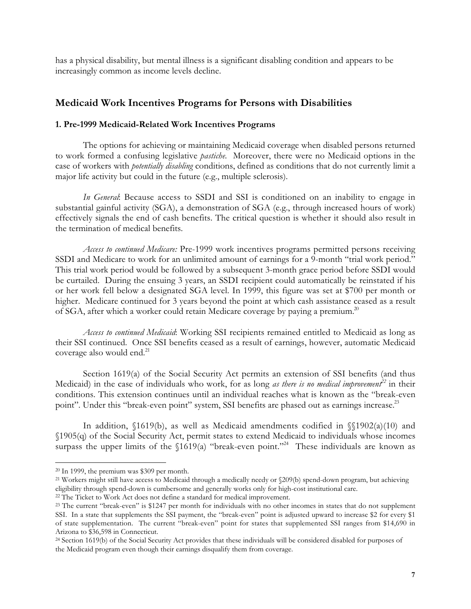has a physical disability, but mental illness is a significant disabling condition and appears to be increasingly common as income levels decline.

# **Medicaid Work Incentives Programs for Persons with Disabilities**

### **1. Pre-1999 Medicaid-Related Work Incentives Programs**

The options for achieving or maintaining Medicaid coverage when disabled persons returned to work formed a confusing legislative *pastiche.* Moreover, there were no Medicaid options in the case of workers with *potentially disabling* conditions, defined as conditions that do not currently limit a major life activity but could in the future (e.g., multiple sclerosis).

*In General*: Because access to SSDI and SSI is conditioned on an inability to engage in substantial gainful activity (SGA), a demonstration of SGA (e.g., through increased hours of work) effectively signals the end of cash benefits. The critical question is whether it should also result in the termination of medical benefits.

*Access to continued Medicare:* Pre-1999 work incentives programs permitted persons receiving SSDI and Medicare to work for an unlimited amount of earnings for a 9-month "trial work period." This trial work period would be followed by a subsequent 3-month grace period before SSDI would be curtailed. During the ensuing 3 years, an SSDI recipient could automatically be reinstated if his or her work fell below a designated SGA level. In 1999, this figure was set at \$700 per month or higher. Medicare continued for 3 years beyond the point at which cash assistance ceased as a result of SGA, after which a worker could retain Medicare coverage by paying a premium.<sup>20</sup>

*Access to continued Medicaid*: Working SSI recipients remained entitled to Medicaid as long as their SSI continued. Once SSI benefits ceased as a result of earnings, however, automatic Medicaid coverage also would end.<sup>21</sup>

Section 1619(a) of the Social Security Act permits an extension of SSI benefits (and thus Medicaid) in the case of individuals who work, for as long *as there is no medical improvement*<sup>22</sup> in their conditions. This extension continues until an individual reaches what is known as the "break-even point". Under this "break-even point" system, SSI benefits are phased out as earnings increase.<sup>23</sup>

In addition,  $\{1619(b)$ , as well as Medicaid amendments codified in  $\{\{1902(a)(10) \text{ and } \}$ §1905(q) of the Social Security Act, permit states to extend Medicaid to individuals whose incomes surpass the upper limits of the §1619(a) "break-even point."<sup>24</sup> These individuals are known as

<sup>20</sup> In 1999, the premium was \$309 per month.

<sup>21</sup> Workers might still have access to Medicaid through a medically needy or §209(b) spend-down program, but achieving eligibility through spend-down is cumbersome and generally works only for high-cost institutional care.

<sup>&</sup>lt;sup>22</sup> The Ticket to Work Act does not define a standard for medical improvement.

<sup>&</sup>lt;sup>23</sup> The current "break-even" is \$1247 per month for individuals with no other incomes in states that do not supplement SSI. In a state that supplements the SSI payment, the "break-even" point is adjusted upward to increase \$2 for every \$1 of state supplementation. The current "break-even" point for states that supplemented SSI ranges from \$14,690 in Arizona to \$36,598 in Connecticut.

<sup>24</sup> Section 1619(b) of the Social Security Act provides that these individuals will be considered disabled for purposes of the Medicaid program even though their earnings disqualify them from coverage.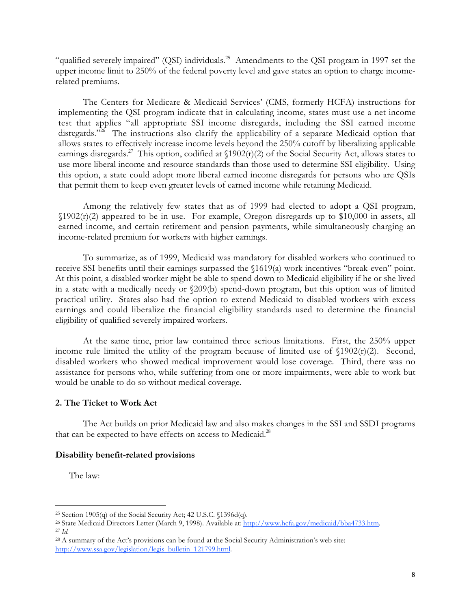"qualified severely impaired" (QSI) individuals.<sup>25</sup> Amendments to the QSI program in 1997 set the upper income limit to 250% of the federal poverty level and gave states an option to charge incomerelated premiums.

The Centers for Medicare & Medicaid Services' (CMS, formerly HCFA) instructions for implementing the QSI program indicate that in calculating income, states must use a net income test that applies "all appropriate SSI income disregards, including the SSI earned income disregards."<sup>26</sup> The instructions also clarify the applicability of a separate Medicaid option that allows states to effectively increase income levels beyond the 250% cutoff by liberalizing applicable earnings disregards.<sup>27</sup> This option, codified at  $\frac{1902(t)}{2}$  of the Social Security Act, allows states to use more liberal income and resource standards than those used to determine SSI eligibility. Using this option, a state could adopt more liberal earned income disregards for persons who are QSIs that permit them to keep even greater levels of earned income while retaining Medicaid.

Among the relatively few states that as of 1999 had elected to adopt a QSI program,  $$1902(r)(2)$  appeared to be in use. For example, Oregon disregards up to \$10,000 in assets, all earned income, and certain retirement and pension payments, while simultaneously charging an income-related premium for workers with higher earnings.

To summarize, as of 1999, Medicaid was mandatory for disabled workers who continued to receive SSI benefits until their earnings surpassed the §1619(a) work incentives "break-even" point. At this point, a disabled worker might be able to spend down to Medicaid eligibility if he or she lived in a state with a medically needy or §209(b) spend-down program, but this option was of limited practical utility. States also had the option to extend Medicaid to disabled workers with excess earnings and could liberalize the financial eligibility standards used to determine the financial eligibility of qualified severely impaired workers.

At the same time, prior law contained three serious limitations. First, the 250% upper income rule limited the utility of the program because of limited use of  $\[1902(r)(2)]$ . Second, disabled workers who showed medical improvement would lose coverage. Third, there was no assistance for persons who, while suffering from one or more impairments, were able to work but would be unable to do so without medical coverage.

### **2. The Ticket to Work Act**

The Act builds on prior Medicaid law and also makes changes in the SSI and SSDI programs that can be expected to have effects on access to Medicaid.<sup>28</sup>

### **Disability benefit-related provisions**

The law:

<sup>&</sup>lt;sup>25</sup> Section 1905(q) of the Social Security Act; 42 U.S.C.  $1396d(q)$ .

<sup>&</sup>lt;sup>26</sup> State Medicaid Directors Letter (March 9, 1998). Available at: http://www.hcfa.gov/medicaid/bba4733.htm. <sup>27</sup> *Id.*

<sup>28</sup> A summary of the Act's provisions can be found at the Social Security Administration's web site: http://www.ssa.gov/legislation/legis\_bulletin\_121799.html.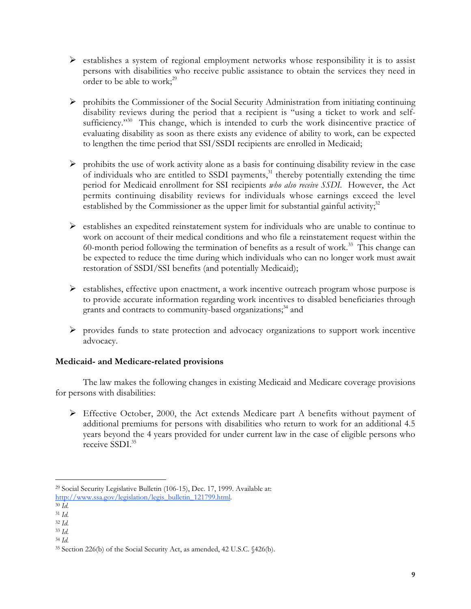- $\triangleright$  establishes a system of regional employment networks whose responsibility it is to assist persons with disabilities who receive public assistance to obtain the services they need in order to be able to work; $^{29}$
- $\triangleright$  prohibits the Commissioner of the Social Security Administration from initiating continuing disability reviews during the period that a recipient is "using a ticket to work and selfsufficiency."<sup>30</sup> This change, which is intended to curb the work disincentive practice of evaluating disability as soon as there exists any evidence of ability to work, can be expected to lengthen the time period that SSI/SSDI recipients are enrolled in Medicaid;
- $\triangleright$  prohibits the use of work activity alone as a basis for continuing disability review in the case of individuals who are entitled to SSDI payments, $31$  thereby potentially extending the time period for Medicaid enrollment for SSI recipients *who also receive SSDI.* However, the Act permits continuing disability reviews for individuals whose earnings exceed the level established by the Commissioner as the upper limit for substantial gainful activity; $3<sup>2</sup>$
- establishes an expedited reinstatement system for individuals who are unable to continue to work on account of their medical conditions and who file a reinstatement request within the 60-month period following the termination of benefits as a result of work.<sup>33</sup> This change can be expected to reduce the time during which individuals who can no longer work must await restoration of SSDI/SSI benefits (and potentially Medicaid);
- $\triangleright$  establishes, effective upon enactment, a work incentive outreach program whose purpose is to provide accurate information regarding work incentives to disabled beneficiaries through grants and contracts to community-based organizations;<sup>34</sup> and
- $\triangleright$  provides funds to state protection and advocacy organizations to support work incentive advocacy.

# **Medicaid- and Medicare-related provisions**

The law makes the following changes in existing Medicaid and Medicare coverage provisions for persons with disabilities:

 $\triangleright$  Effective October, 2000, the Act extends Medicare part A benefits without payment of additional premiums for persons with disabilities who return to work for an additional 4.5 years beyond the 4 years provided for under current law in the case of eligible persons who receive SSDI.<sup>35</sup>

<sup>29</sup> Social Security Legislative Bulletin (106-15), Dec. 17, 1999. Available at: http://www.ssa.gov/legislation/legis\_bulletin\_121799.html.

<sup>30</sup> *Id.*

<sup>31</sup> *Id.*

<sup>32</sup> *Id.*

<sup>33</sup> *Id.*

<sup>34</sup> *Id.*

<sup>35</sup> Section 226(b) of the Social Security Act, as amended, 42 U.S.C. §426(b).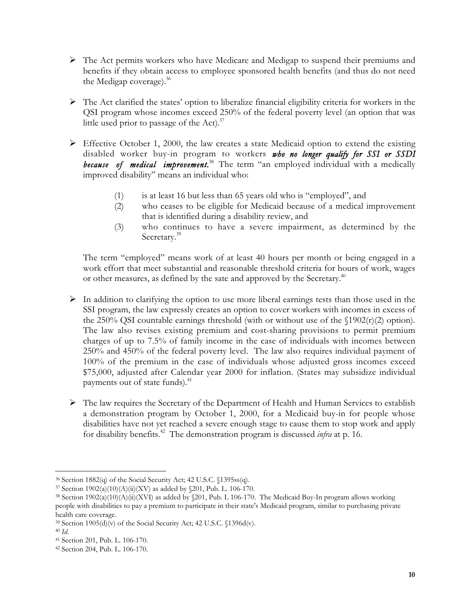- $\triangleright$  The Act permits workers who have Medicare and Medigap to suspend their premiums and benefits if they obtain access to employee sponsored health benefits (and thus do not need the Medigap coverage). $36$
- The Act clarified the states' option to liberalize financial eligibility criteria for workers in the QSI program whose incomes exceed 250% of the federal poverty level (an option that was little used prior to passage of the Act). $37$
- Effective October 1, 2000, the law creates a state Medicaid option to extend the existing disabled worker buy-in program to workers *who no longer qualify for SSI or SSDI* because of medical improvement.<sup>38</sup> The term "an employed individual with a medically improved disability" means an individual who:
	- (1) is at least 16 but less than 65 years old who is "employed", and
	- (2) who ceases to be eligible for Medicaid because of a medical improvement that is identified during a disability review, and
	- (3) who continues to have a severe impairment, as determined by the Secretary.<sup>39</sup>

The term "employed" means work of at least 40 hours per month or being engaged in a work effort that meet substantial and reasonable threshold criteria for hours of work, wages or other measures, as defined by the sate and approved by the Secretary.<sup>40</sup>

- $\triangleright$  In addition to clarifying the option to use more liberal earnings tests than those used in the SSI program, the law expressly creates an option to cover workers with incomes in excess of the 250% QSI countable earnings threshold (with or without use of the  $\[1902(r)(2)$  option). The law also revises existing premium and cost-sharing provisions to permit premium charges of up to 7.5% of family income in the case of individuals with incomes between 250% and 450% of the federal poverty level. The law also requires individual payment of 100% of the premium in the case of individuals whose adjusted gross incomes exceed \$75,000, adjusted after Calendar year 2000 for inflation. (States may subsidize individual payments out of state funds).<sup>41</sup>
- $\triangleright$  The law requires the Secretary of the Department of Health and Human Services to establish a demonstration program by October 1, 2000, for a Medicaid buy-in for people whose disabilities have not yet reached a severe enough stage to cause them to stop work and apply for disability benefits.42 The demonstration program is discussed *infra* at p. 16.

 $\overline{a}$ 

<sup>36</sup> Section 1882(q) of the Social Security Act; 42 U.S.C. §1395ss(q).

<sup>37</sup> Section 1902(a)(10)(A)(ii)(XV) as added by §201, Pub. L. 106-170.

<sup>38</sup> Section 1902(a)(10)(A)(ii)(XVI) as added by §201, Pub. L 106-170. The Medicaid Buy-In program allows working people with disabilities to pay a premium to participate in their state's Medicaid program, similar to purchasing private health care coverage.

 $39$  Section 1905(d)(v) of the Social Security Act; 42 U.S.C.  $1396d(v)$ .

<sup>40</sup> *Id.*

<sup>41</sup> Section 201, Pub. L. 106-170.

<sup>42</sup> Section 204, Pub. L. 106-170.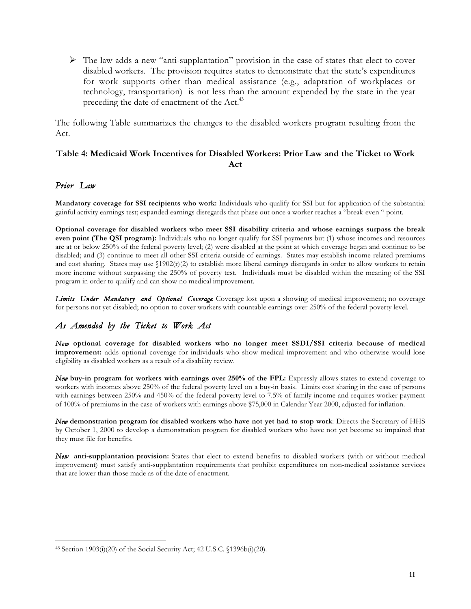The law adds a new "anti-supplantation" provision in the case of states that elect to cover disabled workers. The provision requires states to demonstrate that the state's expenditures for work supports other than medical assistance (e.g., adaptation of workplaces or technology, transportation) is not less than the amount expended by the state in the year preceding the date of enactment of the Act.<sup>43</sup>

The following Table summarizes the changes to the disabled workers program resulting from the Act.

### **Table 4: Medicaid Work Incentives for Disabled Workers: Prior Law and the Ticket to Work Act**

# *Prior Law*

ı

**Mandatory coverage for SSI recipients who work:** Individuals who qualify for SSI but for application of the substantial gainful activity earnings test; expanded earnings disregards that phase out once a worker reaches a "break-even " point.

**Optional coverage for disabled workers who meet SSI disability criteria and whose earnings surpass the break even point (The QSI program):** Individuals who no longer qualify for SSI payments but (1) whose incomes and resources are at or below 250% of the federal poverty level; (2) were disabled at the point at which coverage began and continue to be disabled; and (3) continue to meet all other SSI criteria outside of earnings. States may establish income-related premiums and cost sharing. States may use  $$1902(r)(2)$  to establish more liberal earnings disregards in order to allow workers to retain more income without surpassing the 250% of poverty test. Individuals must be disabled within the meaning of the SSI program in order to qualify and can show no medical improvement.

*Limits Under Mandatory and Optional Coverage*: Coverage lost upon a showing of medical improvement; no coverage for persons not yet disabled; no option to cover workers with countable earnings over 250% of the federal poverty level.

# *As Amended by the Ticket to Work Act*

*New* **optional coverage for disabled workers who no longer meet SSDI/SSI criteria because of medical improvement:** adds optional coverage for individuals who show medical improvement and who otherwise would lose eligibility as disabled workers as a result of a disability review.

*New* **buy-in program for workers with earnings over 250% of the FPL:** Expressly allows states to extend coverage to workers with incomes above 250% of the federal poverty level on a buy-in basis. Limits cost sharing in the case of persons with earnings between 250% and 450% of the federal poverty level to 7.5% of family income and requires worker payment of 100% of premiums in the case of workers with earnings above \$75,000 in Calendar Year 2000, adjusted for inflation.

*New* **demonstration program for disabled workers who have not yet had to stop work**: Directs the Secretary of HHS by October 1, 2000 to develop a demonstration program for disabled workers who have not yet become so impaired that they must file for benefits.

*New* **anti-supplantation provision:** States that elect to extend benefits to disabled workers (with or without medical improvement) must satisfy anti-supplantation requirements that prohibit expenditures on non-medical assistance services that are lower than those made as of the date of enactment.

<sup>43</sup> Section 1903(i)(20) of the Social Security Act; 42 U.S.C. §1396b(i)(20).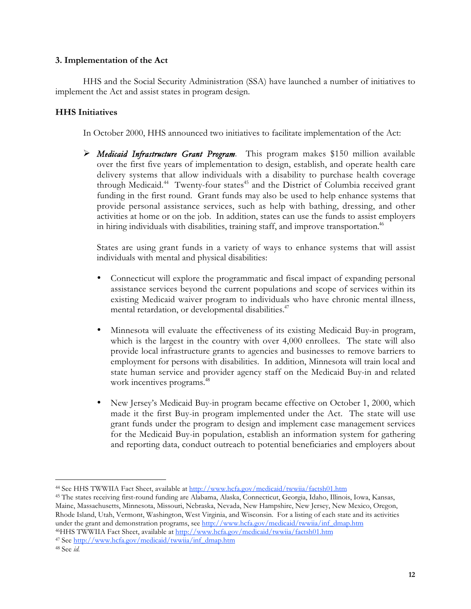### **3. Implementation of the Act**

HHS and the Social Security Administration (SSA) have launched a number of initiatives to implement the Act and assist states in program design.

## **HHS Initiatives**

In October 2000, HHS announced two initiatives to facilitate implementation of the Act:

 *Medicaid Infrastructure Grant Program*. This program makes \$150 million available over the first five years of implementation to design, establish, and operate health care delivery systems that allow individuals with a disability to purchase health coverage through Medicaid.<sup>44</sup> Twenty-four states<sup>45</sup> and the District of Columbia received grant funding in the first round. Grant funds may also be used to help enhance systems that provide personal assistance services, such as help with bathing, dressing, and other activities at home or on the job. In addition, states can use the funds to assist employers in hiring individuals with disabilities, training staff, and improve transportation.<sup>46</sup>

States are using grant funds in a variety of ways to enhance systems that will assist individuals with mental and physical disabilities:

- Connecticut will explore the programmatic and fiscal impact of expanding personal assistance services beyond the current populations and scope of services within its existing Medicaid waiver program to individuals who have chronic mental illness, mental retardation, or developmental disabilities.<sup>47</sup>
- Minnesota will evaluate the effectiveness of its existing Medicaid Buy-in program, which is the largest in the country with over 4,000 enrollees. The state will also provide local infrastructure grants to agencies and businesses to remove barriers to employment for persons with disabilities. In addition, Minnesota will train local and state human service and provider agency staff on the Medicaid Buy-in and related work incentives programs.<sup>48</sup>
- New Jersey's Medicaid Buy-in program became effective on October 1, 2000, which made it the first Buy-in program implemented under the Act. The state will use grant funds under the program to design and implement case management services for the Medicaid Buy-in population, establish an information system for gathering and reporting data, conduct outreach to potential beneficiaries and employers about

47 See http://www.hcfa.gov/medicaid/twwiia/inf\_dmap.htm

<sup>44</sup> See HHS TWWIIA Fact Sheet, available at http://www.hcfa.gov/medicaid/twwiia/factsh01.htm

<sup>45</sup> The states receiving first-round funding are Alabama, Alaska, Connecticut, Georgia, Idaho, Illinois, Iowa, Kansas, Maine, Massachusetts, Minnesota, Missouri, Nebraska, Nevada, New Hampshire, New Jersey, New Mexico, Oregon, Rhode Island, Utah, Vermont, Washington, West Virginia, and Wisconsin. For a listing of each state and its activities under the grant and demonstration programs, see http://www.hcfa.gov/medicaid/twwiia/inf\_dmap.htm 46HHS TWWIIA Fact Sheet, available at http://www.hcfa.gov/medicaid/twwiia/factsh01.htm

<sup>48</sup> See *id.*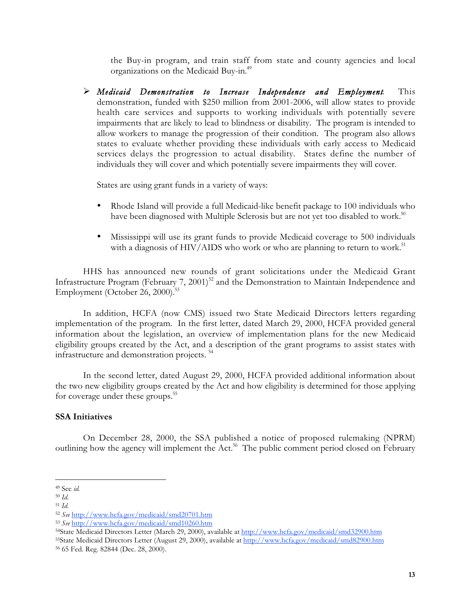the Buy-in program, and train staff from state and county agencies and local organizations on the Medicaid Buy-in.49

 *Medicaid Demonstration to Increase Independence and Employment*. This demonstration, funded with \$250 million from 2001-2006, will allow states to provide health care services and supports to working individuals with potentially severe impairments that are likely to lead to blindness or disability. The program is intended to allow workers to manage the progression of their condition. The program also allows states to evaluate whether providing these individuals with early access to Medicaid services delays the progression to actual disability. States define the number of individuals they will cover and which potentially severe impairments they will cover.

States are using grant funds in a variety of ways:

- Rhode Island will provide a full Medicaid-like benefit package to 100 individuals who have been diagnosed with Multiple Sclerosis but are not yet too disabled to work.<sup>50</sup>
- Mississippi will use its grant funds to provide Medicaid coverage to 500 individuals with a diagnosis of HIV/AIDS who work or who are planning to return to work.<sup>51</sup>

HHS has announced new rounds of grant solicitations under the Medicaid Grant Infrastructure Program (February 7, 2001)<sup>52</sup> and the Demonstration to Maintain Independence and Employment (October 26, 2000).<sup>53</sup>

In addition, HCFA (now CMS) issued two State Medicaid Directors letters regarding implementation of the program. In the first letter, dated March 29, 2000, HCFA provided general information about the legislation, an overview of implementation plans for the new Medicaid eligibility groups created by the Act, and a description of the grant programs to assist states with infrastructure and demonstration projects. 54

In the second letter, dated August 29, 2000, HCFA provided additional information about the two new eligibility groups created by the Act and how eligibility is determined for those applying for coverage under these groups.<sup>55</sup>

### **SSA Initiatives**

On December 28, 2000, the SSA published a notice of proposed rulemaking (NPRM) outlining how the agency will implement the Act.<sup>56</sup> The public comment period closed on February

 $\overline{a}$ 

<sup>49</sup> See *id.*

<sup>50</sup> *Id.*

<sup>51</sup> *Id.*

<sup>52</sup> *See* http://www.hcfa.gov/medicaid/smd20701.htm

<sup>53</sup> *See* http://www.hcfa.gov/medicaid/smd10260.htm

<sup>54</sup>State Medicaid Directors Letter (March 29, 2000), available at http://www.hcfa.gov/medicaid/smd32900.htm 55State Medicaid Directors Letter (August 29, 2000), available at http://www.hcfa.gov/medicaid/smd82900.htm 56 65 Fed. Reg. 82844 (Dec. 28, 2000).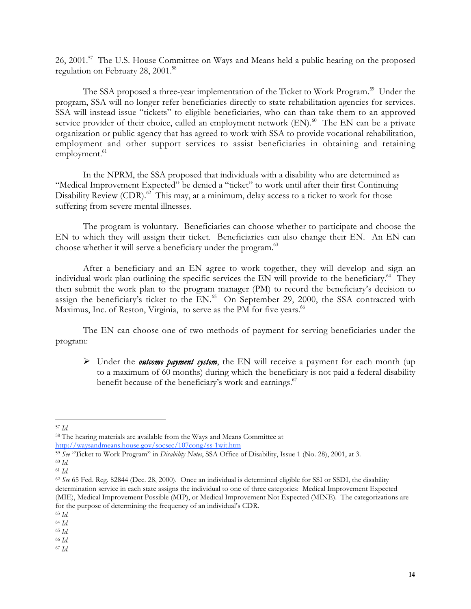26, 2001.<sup>57</sup> The U.S. House Committee on Ways and Means held a public hearing on the proposed regulation on February 28, 2001.<sup>58</sup>

The SSA proposed a three-year implementation of the Ticket to Work Program.<sup>59</sup> Under the program, SSA will no longer refer beneficiaries directly to state rehabilitation agencies for services. SSA will instead issue "tickets" to eligible beneficiaries, who can than take them to an approved service provider of their choice, called an employment network  $(EN)$ .<sup>60</sup> The EN can be a private organization or public agency that has agreed to work with SSA to provide vocational rehabilitation, employment and other support services to assist beneficiaries in obtaining and retaining employment.<sup>61</sup>

In the NPRM, the SSA proposed that individuals with a disability who are determined as "Medical Improvement Expected" be denied a "ticket" to work until after their first Continuing Disability Review  $(CDR)$ .<sup>62</sup> This may, at a minimum, delay access to a ticket to work for those suffering from severe mental illnesses.

The program is voluntary. Beneficiaries can choose whether to participate and choose the EN to which they will assign their ticket. Beneficiaries can also change their EN. An EN can choose whether it will serve a beneficiary under the program.<sup>63</sup>

After a beneficiary and an EN agree to work together, they will develop and sign an individual work plan outlining the specific services the EN will provide to the beneficiary.<sup>64</sup> They then submit the work plan to the program manager (PM) to record the beneficiary's decision to assign the beneficiary's ticket to the EN.<sup>65</sup> On September 29, 2000, the SSA contracted with Maximus, Inc. of Reston, Virginia, to serve as the PM for five years.<sup>66</sup>

The EN can choose one of two methods of payment for serving beneficiaries under the program:

 Under the *outcome payment system*, the EN will receive a payment for each month (up to a maximum of 60 months) during which the beneficiary is not paid a federal disability benefit because of the beneficiary's work and earnings.<sup>67</sup>

http://waysandmeans.house.gov/socsec/107cong/ss-1wit.htm

ı <sup>57</sup> *Id.*

<sup>58</sup> The hearing materials are available from the Ways and Means Committee at

<sup>59</sup> *See* "Ticket to Work Program" in *Disability Notes*, SSA Office of Disability, Issue 1 (No. 28), 2001, at 3.

<sup>60</sup> *Id.* <sup>61</sup> *Id.*

<sup>62</sup> *See* 65 Fed. Reg. 82844 (Dec. 28, 2000). Once an individual is determined eligible for SSI or SSDI, the disability determination service in each state assigns the individual to one of three categories: Medical Improvement Expected (MIE), Medical Improvement Possible (MIP), or Medical Improvement Not Expected (MINE). The categorizations are for the purpose of determining the frequency of an individual's CDR.

<sup>63</sup> *Id.*

<sup>64</sup> *Id.*

<sup>65</sup> *Id.*

<sup>66</sup> *Id.* <sup>67</sup> *Id.*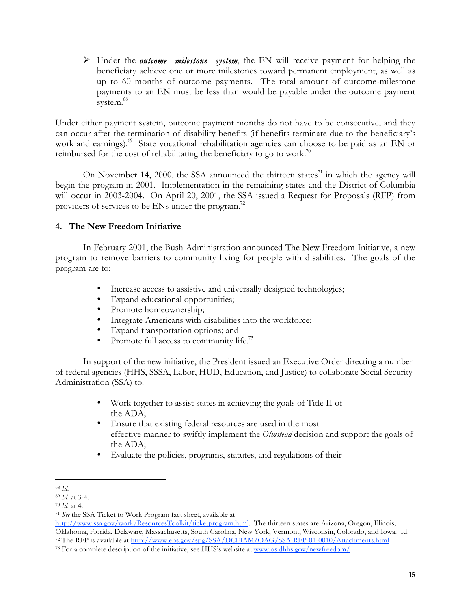Under the *outcome milestone system*, the EN will receive payment for helping the beneficiary achieve one or more milestones toward permanent employment, as well as up to 60 months of outcome payments. The total amount of outcome-milestone payments to an EN must be less than would be payable under the outcome payment system.<sup>68</sup>

Under either payment system, outcome payment months do not have to be consecutive, and they can occur after the termination of disability benefits (if benefits terminate due to the beneficiary's work and earnings).<sup>69</sup> State vocational rehabilitation agencies can choose to be paid as an EN or reimbursed for the cost of rehabilitating the beneficiary to go to work.<sup>70</sup>

On November 14, 2000, the SSA announced the thirteen states $^{71}$  in which the agency will begin the program in 2001. Implementation in the remaining states and the District of Columbia will occur in 2003-2004. On April 20, 2001, the SSA issued a Request for Proposals (RFP) from providers of services to be ENs under the program.<sup>72</sup>

# **4. The New Freedom Initiative**

In February 2001, the Bush Administration announced The New Freedom Initiative, a new program to remove barriers to community living for people with disabilities. The goals of the program are to:

- Increase access to assistive and universally designed technologies;
- Expand educational opportunities;
- Promote homeownership;
- Integrate Americans with disabilities into the workforce;
- Expand transportation options; and
- Promote full access to community life.<sup>73</sup>

In support of the new initiative, the President issued an Executive Order directing a number of federal agencies (HHS, SSSA, Labor, HUD, Education, and Justice) to collaborate Social Security Administration (SSA) to:

- Work together to assist states in achieving the goals of Title II of the ADA;
- Ensure that existing federal resources are used in the most effective manner to swiftly implement the *Olmstead* decision and support the goals of the ADA;
- Evaluate the policies, programs, statutes, and regulations of their

ı <sup>68</sup> *Id*.

<sup>69</sup> *Id.* at 3-4.

<sup>70</sup> *Id.* at 4.

<sup>71</sup> *See* the SSA Ticket to Work Program fact sheet, available at

http://www.ssa.gov/work/ResourcesToolkit/ticketprogram.html. The thirteen states are Arizona, Oregon, Illinois, Oklahoma, Florida, Delaware, Massachusetts, South Carolina, New York, Vermont, Wisconsin, Colorado, and Iowa. Id. <sup>72</sup> The RFP is available at http://www.eps.gov/spg/SSA/DCFIAM/OAG/SSA-RFP-01-0010/Attachments.html

<sup>&</sup>lt;sup>73</sup> For a complete description of the initiative, see HHS's website at www.os.dhhs.gov/newfreedom/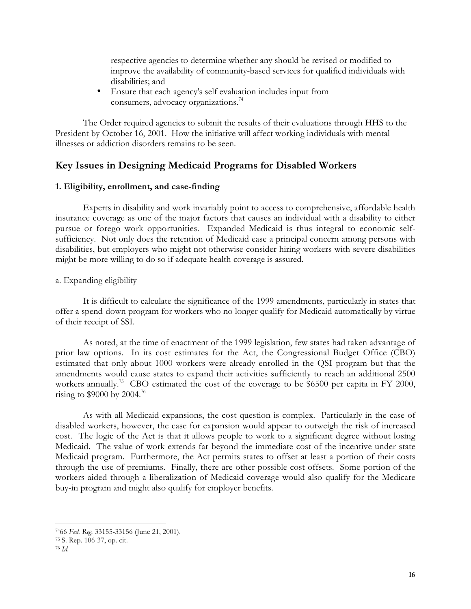respective agencies to determine whether any should be revised or modified to improve the availability of community-based services for qualified individuals with disabilities; and

• Ensure that each agency's self evaluation includes input from consumers, advocacy organizations.<sup>74</sup>

The Order required agencies to submit the results of their evaluations through HHS to the President by October 16, 2001. How the initiative will affect working individuals with mental illnesses or addiction disorders remains to be seen.

# **Key Issues in Designing Medicaid Programs for Disabled Workers**

### **1. Eligibility, enrollment, and case-finding**

Experts in disability and work invariably point to access to comprehensive, affordable health insurance coverage as one of the major factors that causes an individual with a disability to either pursue or forego work opportunities. Expanded Medicaid is thus integral to economic selfsufficiency. Not only does the retention of Medicaid ease a principal concern among persons with disabilities, but employers who might not otherwise consider hiring workers with severe disabilities might be more willing to do so if adequate health coverage is assured.

### a. Expanding eligibility

It is difficult to calculate the significance of the 1999 amendments, particularly in states that offer a spend-down program for workers who no longer qualify for Medicaid automatically by virtue of their receipt of SSI.

As noted, at the time of enactment of the 1999 legislation, few states had taken advantage of prior law options. In its cost estimates for the Act, the Congressional Budget Office (CBO) estimated that only about 1000 workers were already enrolled in the QSI program but that the amendments would cause states to expand their activities sufficiently to reach an additional 2500 workers annually.<sup>75</sup> CBO estimated the cost of the coverage to be \$6500 per capita in FY 2000, rising to  $$9000$  by 2004.<sup>76</sup>

As with all Medicaid expansions, the cost question is complex. Particularly in the case of disabled workers, however, the case for expansion would appear to outweigh the risk of increased cost. The logic of the Act is that it allows people to work to a significant degree without losing Medicaid. The value of work extends far beyond the immediate cost of the incentive under state Medicaid program. Furthermore, the Act permits states to offset at least a portion of their costs through the use of premiums. Finally, there are other possible cost offsets. Some portion of the workers aided through a liberalization of Medicaid coverage would also qualify for the Medicare buy-in program and might also qualify for employer benefits.

<sup>7466</sup> *Fed. Reg.* 33155-33156 (June 21, 2001).

<sup>75</sup> S. Rep. 106-37, op. cit.

<sup>76</sup> *Id.*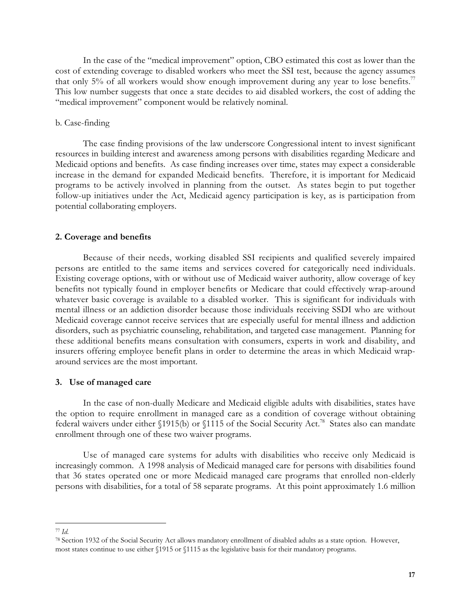In the case of the "medical improvement" option, CBO estimated this cost as lower than the cost of extending coverage to disabled workers who meet the SSI test, because the agency assumes that only 5% of all workers would show enough improvement during any year to lose benefits.<sup>77</sup> This low number suggests that once a state decides to aid disabled workers, the cost of adding the "medical improvement" component would be relatively nominal.

#### b. Case-finding

The case finding provisions of the law underscore Congressional intent to invest significant resources in building interest and awareness among persons with disabilities regarding Medicare and Medicaid options and benefits. As case finding increases over time, states may expect a considerable increase in the demand for expanded Medicaid benefits. Therefore, it is important for Medicaid programs to be actively involved in planning from the outset. As states begin to put together follow-up initiatives under the Act, Medicaid agency participation is key, as is participation from potential collaborating employers.

#### **2. Coverage and benefits**

Because of their needs, working disabled SSI recipients and qualified severely impaired persons are entitled to the same items and services covered for categorically need individuals. Existing coverage options, with or without use of Medicaid waiver authority, allow coverage of key benefits not typically found in employer benefits or Medicare that could effectively wrap-around whatever basic coverage is available to a disabled worker. This is significant for individuals with mental illness or an addiction disorder because those individuals receiving SSDI who are without Medicaid coverage cannot receive services that are especially useful for mental illness and addiction disorders, such as psychiatric counseling, rehabilitation, and targeted case management. Planning for these additional benefits means consultation with consumers, experts in work and disability, and insurers offering employee benefit plans in order to determine the areas in which Medicaid wraparound services are the most important.

#### **3. Use of managed care**

In the case of non-dually Medicare and Medicaid eligible adults with disabilities, states have the option to require enrollment in managed care as a condition of coverage without obtaining federal waivers under either §1915(b) or §1115 of the Social Security Act.<sup>78</sup> States also can mandate enrollment through one of these two waiver programs.

Use of managed care systems for adults with disabilities who receive only Medicaid is increasingly common. A 1998 analysis of Medicaid managed care for persons with disabilities found that 36 states operated one or more Medicaid managed care programs that enrolled non-elderly persons with disabilities, for a total of 58 separate programs. At this point approximately 1.6 million

<sup>77</sup> *Id.*

<sup>78</sup> Section 1932 of the Social Security Act allows mandatory enrollment of disabled adults as a state option. However, most states continue to use either §1915 or §1115 as the legislative basis for their mandatory programs.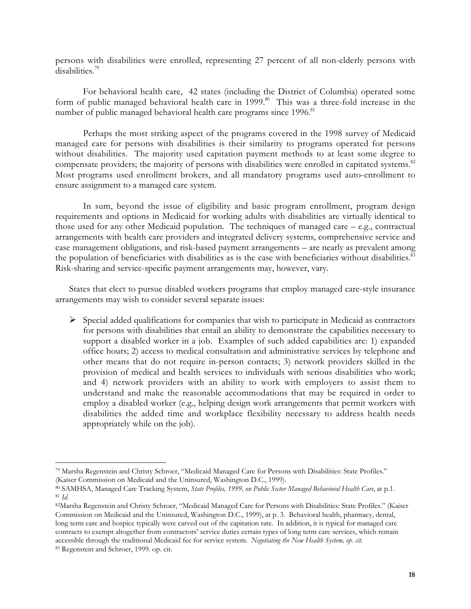persons with disabilities were enrolled, representing 27 percent of all non-elderly persons with disabilities.<sup>79</sup>

For behavioral health care, 42 states (including the District of Columbia) operated some form of public managed behavioral health care in 1999.<sup>80</sup> This was a three-fold increase in the number of public managed behavioral health care programs since 1996.<sup>81</sup>

Perhaps the most striking aspect of the programs covered in the 1998 survey of Medicaid managed care for persons with disabilities is their similarity to programs operated for persons without disabilities. The majority used capitation payment methods to at least some degree to compensate providers; the majority of persons with disabilities were enrolled in capitated systems.<sup>82</sup> Most programs used enrollment brokers, and all mandatory programs used auto-enrollment to ensure assignment to a managed care system.

In sum, beyond the issue of eligibility and basic program enrollment, program design requirements and options in Medicaid for working adults with disabilities are virtually identical to those used for any other Medicaid population. The techniques of managed care – e.g., contractual arrangements with health care providers and integrated delivery systems, comprehensive service and case management obligations, and risk-based payment arrangements – are nearly as prevalent among the population of beneficiaries with disabilities as is the case with beneficiaries without disabilities.<sup>83</sup> Risk-sharing and service-specific payment arrangements may, however, vary.

States that elect to pursue disabled workers programs that employ managed care-style insurance arrangements may wish to consider several separate issues:

 $\triangleright$  Special added qualifications for companies that wish to participate in Medicaid as contractors for persons with disabilities that entail an ability to demonstrate the capabilities necessary to support a disabled worker in a job. Examples of such added capabilities are: 1) expanded office hours; 2) access to medical consultation and administrative services by telephone and other means that do not require in-person contacts; 3) network providers skilled in the provision of medical and health services to individuals with serious disabilities who work; and 4) network providers with an ability to work with employers to assist them to understand and make the reasonable accommodations that may be required in order to employ a disabled worker (e.g., helping design work arrangements that permit workers with disabilities the added time and workplace flexibility necessary to address health needs appropriately while on the job).

<sup>79</sup> Marsha Regenstein and Christy Schroer, "Medicaid Managed Care for Persons with Disabilities: State Profiles." (Kaiser Commission on Medicaid and the Uninsured, Washington D.C., 1999).

<sup>80</sup> SAMHSA, Managed Care Tracking System, *State Profiles, 1999, on Public Sector Managed Behavioral Health Care*, at p.1. <sup>81</sup> *Id.*

<sup>82</sup>Marsha Regenstein and Christy Schroer, "Medicaid Managed Care for Persons with Disabilities: State Profiles." (Kaiser Commission on Medicaid and the Uninsured, Washington D.C., 1999), at p. 3. Behavioral health, pharmacy, dental, long term care and hospice typically were carved out of the capitation rate. In addition, it is typical for managed care contracts to exempt altogether from contractors' service duties certain types of long term care services, which remain accessible through the traditional Medicaid fee for service system. *Negotiating the New Health System, op. cit.* 83 Regenstein and Schroer, 1999. op. cit.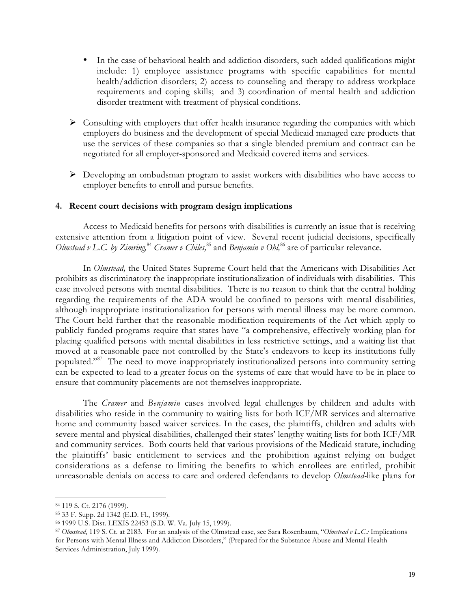- In the case of behavioral health and addiction disorders, such added qualifications might include: 1) employee assistance programs with specific capabilities for mental health/addiction disorders; 2) access to counseling and therapy to address workplace requirements and coping skills; and 3) coordination of mental health and addiction disorder treatment with treatment of physical conditions.
- $\triangleright$  Consulting with employers that offer health insurance regarding the companies with which employers do business and the development of special Medicaid managed care products that use the services of these companies so that a single blended premium and contract can be negotiated for all employer-sponsored and Medicaid covered items and services.
- $\triangleright$  Developing an ombudsman program to assist workers with disabilities who have access to employer benefits to enroll and pursue benefits.

### **4. Recent court decisions with program design implications**

Access to Medicaid benefits for persons with disabilities is currently an issue that is receiving extensive attention from a litigation point of view. Several recent judicial decisions, specifically *Olmstead v L.C. by Zimring*,<sup>84</sup> Cramer v Chiles,<sup>85</sup> and *Benjamin v Ohl*,<sup>86</sup> are of particular relevance.

In *Olmstead,* the United States Supreme Court held that the Americans with Disabilities Act prohibits as discriminatory the inappropriate institutionalization of individuals with disabilities. This case involved persons with mental disabilities. There is no reason to think that the central holding regarding the requirements of the ADA would be confined to persons with mental disabilities, although inappropriate institutionalization for persons with mental illness may be more common. The Court held further that the reasonable modification requirements of the Act which apply to publicly funded programs require that states have "a comprehensive, effectively working plan for placing qualified persons with mental disabilities in less restrictive settings, and a waiting list that moved at a reasonable pace not controlled by the State's endeavors to keep its institutions fully populated."87 The need to move inappropriately institutionalized persons into community setting can be expected to lead to a greater focus on the systems of care that would have to be in place to ensure that community placements are not themselves inappropriate.

The *Cramer* and *Benjamin* cases involved legal challenges by children and adults with disabilities who reside in the community to waiting lists for both ICF/MR services and alternative home and community based waiver services. In the cases, the plaintiffs, children and adults with severe mental and physical disabilities, challenged their states' lengthy waiting lists for both ICF/MR and community services. Both courts held that various provisions of the Medicaid statute, including the plaintiffs' basic entitlement to services and the prohibition against relying on budget considerations as a defense to limiting the benefits to which enrollees are entitled, prohibit unreasonable denials on access to care and ordered defendants to develop *Olmstead-*like plans for

<sup>84 119</sup> S. Ct. 2176 (1999).

<sup>85 33</sup> F. Supp. 2d 1342 (E.D. Fl., 1999).

<sup>86 1999</sup> U.S. Dist. LEXIS 22453 (S.D. W. Va. July 15, 1999).

<sup>87</sup> *Olmstead*, 119 S. Ct. at 2183. For an analysis of the Olmstead case, see Sara Rosenbaum, "*Olmstead v L.C.:* Implications for Persons with Mental Illness and Addiction Disorders," (Prepared for the Substance Abuse and Mental Health Services Administration, July 1999).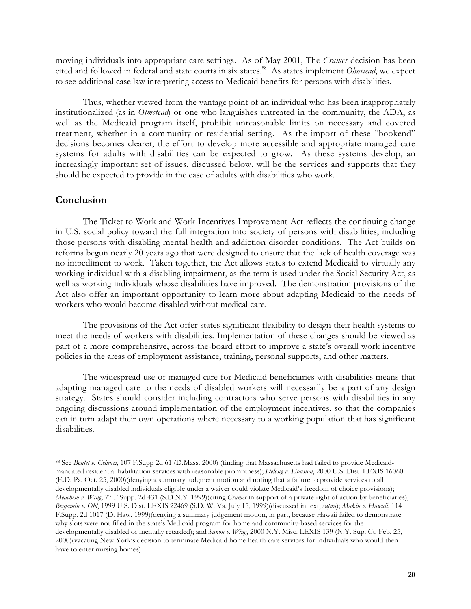moving individuals into appropriate care settings. As of May 2001, The *Cramer* decision has been cited and followed in federal and state courts in six states.<sup>88</sup> As states implement *Olmstead*, we expect to see additional case law interpreting access to Medicaid benefits for persons with disabilities.

Thus, whether viewed from the vantage point of an individual who has been inappropriately institutionalized (as in *Olmstead*) or one who languishes untreated in the community, the ADA, as well as the Medicaid program itself, prohibit unreasonable limits on necessary and covered treatment, whether in a community or residential setting. As the import of these "bookend" decisions becomes clearer, the effort to develop more accessible and appropriate managed care systems for adults with disabilities can be expected to grow. As these systems develop, an increasingly important set of issues, discussed below, will be the services and supports that they should be expected to provide in the case of adults with disabilities who work.

## **Conclusion**

l

The Ticket to Work and Work Incentives Improvement Act reflects the continuing change in U.S. social policy toward the full integration into society of persons with disabilities, including those persons with disabling mental health and addiction disorder conditions. The Act builds on reforms begun nearly 20 years ago that were designed to ensure that the lack of health coverage was no impediment to work. Taken together, the Act allows states to extend Medicaid to virtually any working individual with a disabling impairment, as the term is used under the Social Security Act, as well as working individuals whose disabilities have improved. The demonstration provisions of the Act also offer an important opportunity to learn more about adapting Medicaid to the needs of workers who would become disabled without medical care.

The provisions of the Act offer states significant flexibility to design their health systems to meet the needs of workers with disabilities. Implementation of these changes should be viewed as part of a more comprehensive, across-the-board effort to improve a state's overall work incentive policies in the areas of employment assistance, training, personal supports, and other matters.

The widespread use of managed care for Medicaid beneficiaries with disabilities means that adapting managed care to the needs of disabled workers will necessarily be a part of any design strategy. States should consider including contractors who serve persons with disabilities in any ongoing discussions around implementation of the employment incentives, so that the companies can in turn adapt their own operations where necessary to a working population that has significant disabilities.

<sup>88</sup> See *Boulet v. Cellucci*, 107 F.Supp 2d 61 (D.Mass. 2000) (finding that Massachusetts had failed to provide Medicaidmandated residential habilitation services with reasonable promptness); *Delong v. Houston*, 2000 U.S. Dist. LEXIS 16060 (E.D. Pa. Oct. 25, 2000)(denying a summary judgment motion and noting that a failure to provide services to all developmentally disabled individuals eligible under a waiver could violate Medicaid's freedom of choice provisions); *Meachem v. Wing*, 77 F.Supp. 2d 431 (S.D.N.Y. 1999)(citing *Cramer* in support of a private right of action by beneficiaries); *Benjamin v. Ohl*, 1999 U.S. Dist. LEXIS 22469 (S.D. W. Va. July 15, 1999)(discussed in text, *supra*); *Makin v. Hawaii*, 114 F.Supp. 2d 1017 (D. Haw. 1999)(denying a summary judgement motion, in part, because Hawaii failed to demonstrate why slots were not filled in the state's Medicaid program for home and community-based services for the developmentally disabled or mentally retarded); and *Sanon v. Wing*, 2000 N.Y. Misc. LEXIS 139 (N.Y. Sup. Ct. Feb. 25, 2000)(vacating New York's decision to terminate Medicaid home health care services for individuals who would then have to enter nursing homes).